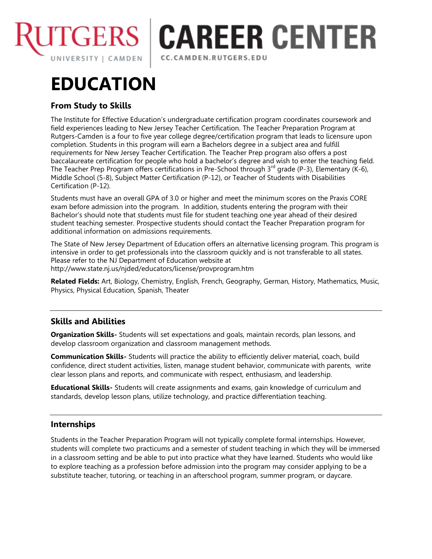

# **CAREER CENTER** CC.CAMDEN.RUTGERS.EDU

# **EDUCATION**

## **From Study to Skills**

The Institute for Effective Education's undergraduate certification program coordinates coursework and field experiences leading to New Jersey Teacher Certification. The Teacher Preparation Program at Rutgers-Camden is a four to five year college degree/certification program that leads to licensure upon completion. Students in this program will earn a Bachelors degree in a subject area and fulfill requirements for New Jersey Teacher Certification. The Teacher Prep program also offers a post baccalaureate certification for people who hold a bachelor's degree and wish to enter the teaching field. The Teacher Prep Program offers certifications in Pre-School through  $3^{rd}$  grade (P-3), Elementary (K-6), Middle School (5-8), Subject Matter Certification (P-12), or Teacher of Students with Disabilities Certification (P-12).

Students must have an overall GPA of 3.0 or higher and meet the minimum scores on the Praxis CORE exam before admission into the program. In addition, students entering the program with their Bachelor's should note that students must file for student teaching one year ahead of their desired student teaching semester. Prospective students should contact the Teacher Preparation program for additional information on admissions requirements.

The State of New Jersey Department of Education offers an alternative licensing program. This program is intensive in order to get professionals into the classroom quickly and is not transferable to all states. Please refer to the NJ Department of Education website at http://www.state.nj.us/njded/educators/license/provprogram.htm

**Related Fields:** Art, Biology, Chemistry, English, French, Geography, German, History, Mathematics, Music, Physics, Physical Education, Spanish, Theater

### **Skills and Abilities**

**Organization Skills-** Students will set expectations and goals, maintain records, plan lessons, and develop classroom organization and classroom management methods.

**Communication Skills-** Students will practice the ability to efficiently deliver material, coach, build confidence, direct student activities, listen, manage student behavior, communicate with parents, write clear lesson plans and reports, and communicate with respect, enthusiasm, and leadership.

**Educational Skills-** Students will create assignments and exams, gain knowledge of curriculum and standards, develop lesson plans, utilize technology, and practice differentiation teaching.

### **Internships**

Students in the Teacher Preparation Program will not typically complete formal internships. However, students will complete two practicums and a semester of student teaching in which they will be immersed in a classroom setting and be able to put into practice what they have learned. Students who would like to explore teaching as a profession before admission into the program may consider applying to be a substitute teacher, tutoring, or teaching in an afterschool program, summer program, or daycare.